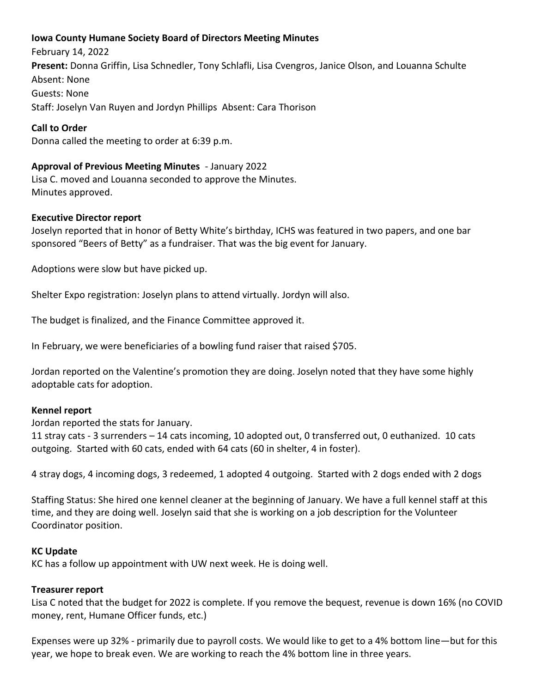# **Iowa County Humane Society Board of Directors Meeting Minutes**

February 14, 2022 **Present:** Donna Griffin, Lisa Schnedler, Tony Schlafli, Lisa Cvengros, Janice Olson, and Louanna Schulte Absent: None Guests: None Staff: Joselyn Van Ruyen and Jordyn PhillipsAbsent: Cara Thorison

# **Call to Order**

Donna called the meeting to order at 6:39 p.m.

## **Approval of Previous Meeting Minutes** - January 2022

Lisa C. moved and Louanna seconded to approve the Minutes. Minutes approved.

## **Executive Director report**

Joselyn reported that in honor of Betty White's birthday, ICHS was featured in two papers, and one bar sponsored "Beers of Betty" as a fundraiser. That was the big event for January.

Adoptions were slow but have picked up.

Shelter Expo registration: Joselyn plans to attend virtually. Jordyn will also.

The budget is finalized, and the Finance Committee approved it.

In February, we were beneficiaries of a bowling fund raiser that raised \$705.

Jordan reported on the Valentine's promotion they are doing. Joselyn noted that they have some highly adoptable cats for adoption.

### **Kennel report**

Jordan reported the stats for January.

11 stray cats - 3 surrenders – 14 cats incoming, 10 adopted out, 0 transferred out, 0 euthanized. 10 cats outgoing. Started with 60 cats, ended with 64 cats (60 in shelter, 4 in foster).

4 stray dogs, 4 incoming dogs, 3 redeemed, 1 adopted 4 outgoing. Started with 2 dogs ended with 2 dogs

Staffing Status: She hired one kennel cleaner at the beginning of January. We have a full kennel staff at this time, and they are doing well. Joselyn said that she is working on a job description for the Volunteer Coordinator position.

### **KC Update**

KC has a follow up appointment with UW next week. He is doing well.

### **Treasurer report**

Lisa C noted that the budget for 2022 is complete. If you remove the bequest, revenue is down 16% (no COVID money, rent, Humane Officer funds, etc.)

Expenses were up 32% - primarily due to payroll costs. We would like to get to a 4% bottom line—but for this year, we hope to break even. We are working to reach the 4% bottom line in three years.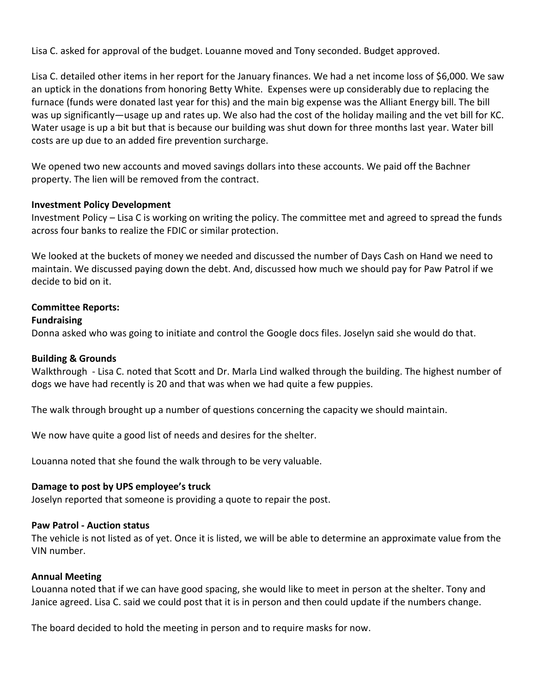Lisa C. asked for approval of the budget. Louanne moved and Tony seconded. Budget approved.

Lisa C. detailed other items in her report for the January finances. We had a net income loss of \$6,000. We saw an uptick in the donations from honoring Betty White. Expenses were up considerably due to replacing the furnace (funds were donated last year for this) and the main big expense was the Alliant Energy bill. The bill was up significantly—usage up and rates up. We also had the cost of the holiday mailing and the vet bill for KC. Water usage is up a bit but that is because our building was shut down for three months last year. Water bill costs are up due to an added fire prevention surcharge.

We opened two new accounts and moved savings dollars into these accounts. We paid off the Bachner property. The lien will be removed from the contract.

## **Investment Policy Development**

Investment Policy – Lisa C is working on writing the policy. The committee met and agreed to spread the funds across four banks to realize the FDIC or similar protection.

We looked at the buckets of money we needed and discussed the number of Days Cash on Hand we need to maintain. We discussed paying down the debt. And, discussed how much we should pay for Paw Patrol if we decide to bid on it.

## **Committee Reports:**

## **Fundraising**

Donna asked who was going to initiate and control the Google docs files. Joselyn said she would do that.

### **Building & Grounds**

Walkthrough - Lisa C. noted that Scott and Dr. Marla Lind walked through the building. The highest number of dogs we have had recently is 20 and that was when we had quite a few puppies.

The walk through brought up a number of questions concerning the capacity we should maintain.

We now have quite a good list of needs and desires for the shelter.

Louanna noted that she found the walk through to be very valuable.

### **Damage to post by UPS employee's truck**

Joselyn reported that someone is providing a quote to repair the post.

### **Paw Patrol - Auction status**

The vehicle is not listed as of yet. Once it is listed, we will be able to determine an approximate value from the VIN number.

### **Annual Meeting**

Louanna noted that if we can have good spacing, she would like to meet in person at the shelter. Tony and Janice agreed. Lisa C. said we could post that it is in person and then could update if the numbers change.

The board decided to hold the meeting in person and to require masks for now.